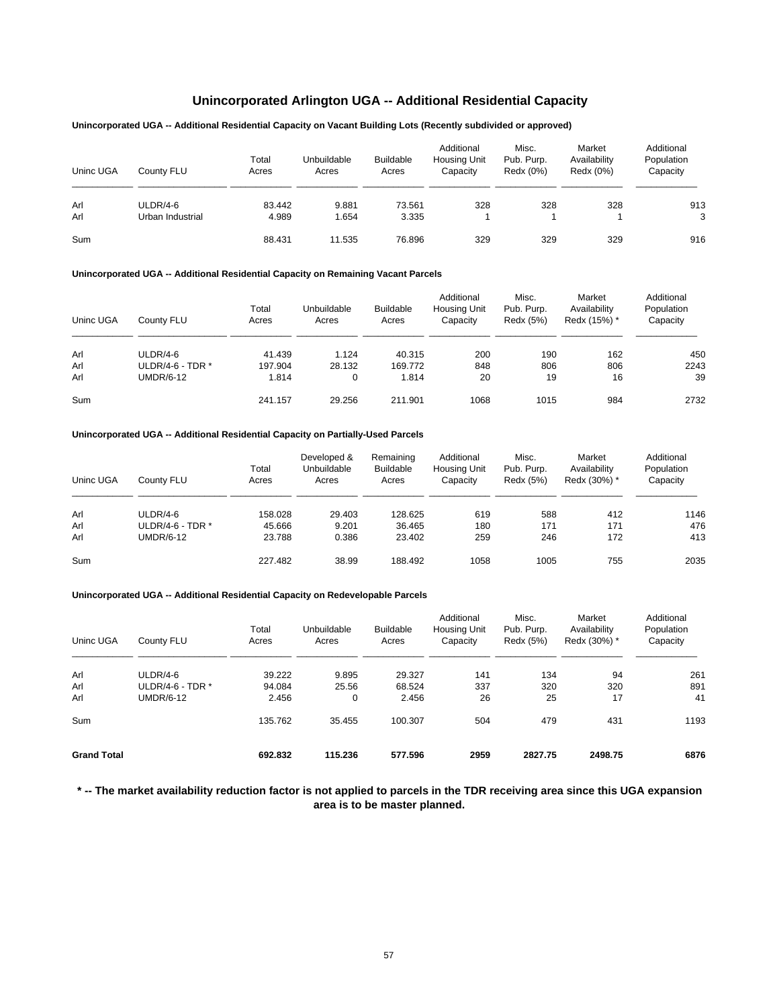## **Unincorporated Arlington UGA -- Additional Residential Capacity**

## **Unincorporated UGA -- Additional Residential Capacity on Vacant Building Lots (Recently subdivided or approved)**

| Uninc UGA | County FLU       | Total<br>Acres | Unbuildable<br>Acres | <b>Buildable</b><br>Acres | Additional<br><b>Housing Unit</b><br>Capacity | Misc.<br>Pub. Purp.<br>Redx (0%) | Market<br>Availability<br>Redx (0%) | Additional<br>Population<br>Capacity |
|-----------|------------------|----------------|----------------------|---------------------------|-----------------------------------------------|----------------------------------|-------------------------------------|--------------------------------------|
| Arl       | ULDR/4-6         | 83.442         | 9.881                | 73.561                    | 328                                           | 328                              | 328                                 | 913                                  |
| Arl       | Urban Industrial | 4.989          | 1.654                | 3.335                     |                                               |                                  |                                     | 3                                    |
| Sum       |                  | 88.431         | 11.535               | 76.896                    | 329                                           | 329                              | 329                                 | 916                                  |

#### **Unincorporated UGA -- Additional Residential Capacity on Remaining Vacant Parcels**

| Uninc UGA | County FLU       | Total<br>Acres | Unbuildable<br>Acres | <b>Buildable</b><br>Acres | Additional<br><b>Housing Unit</b><br>Capacity | Misc.<br>Pub. Purp.<br>Redx (5%) | Market<br>Availability<br>Redx (15%) * | Additional<br>Population<br>Capacity |
|-----------|------------------|----------------|----------------------|---------------------------|-----------------------------------------------|----------------------------------|----------------------------------------|--------------------------------------|
| Arl       | $ULDR/4-6$       | 41.439         | 1.124                | 40.315                    | 200                                           | 190                              | 162                                    | 450                                  |
| Arl       | ULDR/4-6 - TDR * | 197.904        | 28.132               | 169.772                   | 848                                           | 806                              | 806                                    | 2243                                 |
| Arl       | UMDR/6-12        | 1.814          | 0                    | 1.814                     | 20                                            | 19                               | 16                                     | 39                                   |
| Sum       |                  | 241.157        | 29.256               | 211.901                   | 1068                                          | 1015                             | 984                                    | 2732                                 |

## **Unincorporated UGA -- Additional Residential Capacity on Partially-Used Parcels**

| Uninc UGA | County FLU       | Total<br>Acres | Developed &<br>Unbuildable<br>Acres | Remaining<br><b>Buildable</b><br>Acres | Additional<br>Housing Unit<br>Capacity | Misc.<br>Pub. Purp.<br>Redx (5%) | Market<br>Availability<br>Redx (30%) * | Additional<br>Population<br>Capacity |
|-----------|------------------|----------------|-------------------------------------|----------------------------------------|----------------------------------------|----------------------------------|----------------------------------------|--------------------------------------|
| Arl       | $ULDR/4-6$       | 158.028        | 29.403                              | 128.625                                | 619                                    | 588                              | 412                                    | 1146                                 |
| Arl       | ULDR/4-6 - TDR * | 45.666         | 9.201                               | 36.465                                 | 180                                    | 171                              | 171                                    | 476                                  |
| Arl       | UMDR/6-12        | 23.788         | 0.386                               | 23.402                                 | 259                                    | 246                              | 172                                    | 413                                  |
| Sum       |                  | 227.482        | 38.99                               | 188.492                                | 1058                                   | 1005                             | 755                                    | 2035                                 |

#### **Unincorporated UGA -- Additional Residential Capacity on Redevelopable Parcels**

| Uninc UGA          | County FLU       | Total<br>Acres | Unbuildable<br>Acres | <b>Buildable</b><br>Acres | Additional<br>Housing Unit<br>Capacity | Misc.<br>Pub. Purp.<br>Redx (5%) | Market<br>Availability<br>Redx (30%) * | Additional<br>Population<br>Capacity |
|--------------------|------------------|----------------|----------------------|---------------------------|----------------------------------------|----------------------------------|----------------------------------------|--------------------------------------|
| Arl                | ULDR/4-6         | 39.222         | 9.895                | 29.327                    | 141                                    | 134                              | 94                                     | 261                                  |
| Arl                | ULDR/4-6 - TDR * | 94.084         | 25.56                | 68.524                    | 337                                    | 320                              | 320                                    | 891                                  |
| Arl                | <b>UMDR/6-12</b> | 2.456          | 0                    | 2.456                     | 26                                     | 25                               | 17                                     | 41                                   |
| Sum                |                  | 135.762        | 35.455               | 100.307                   | 504                                    | 479                              | 431                                    | 1193                                 |
| <b>Grand Total</b> |                  | 692.832        | 115.236              | 577.596                   | 2959                                   | 2827.75                          | 2498.75                                | 6876                                 |

**\* -- The market availability reduction factor is not applied to parcels in the TDR receiving area since this UGA expansion area is to be master planned.**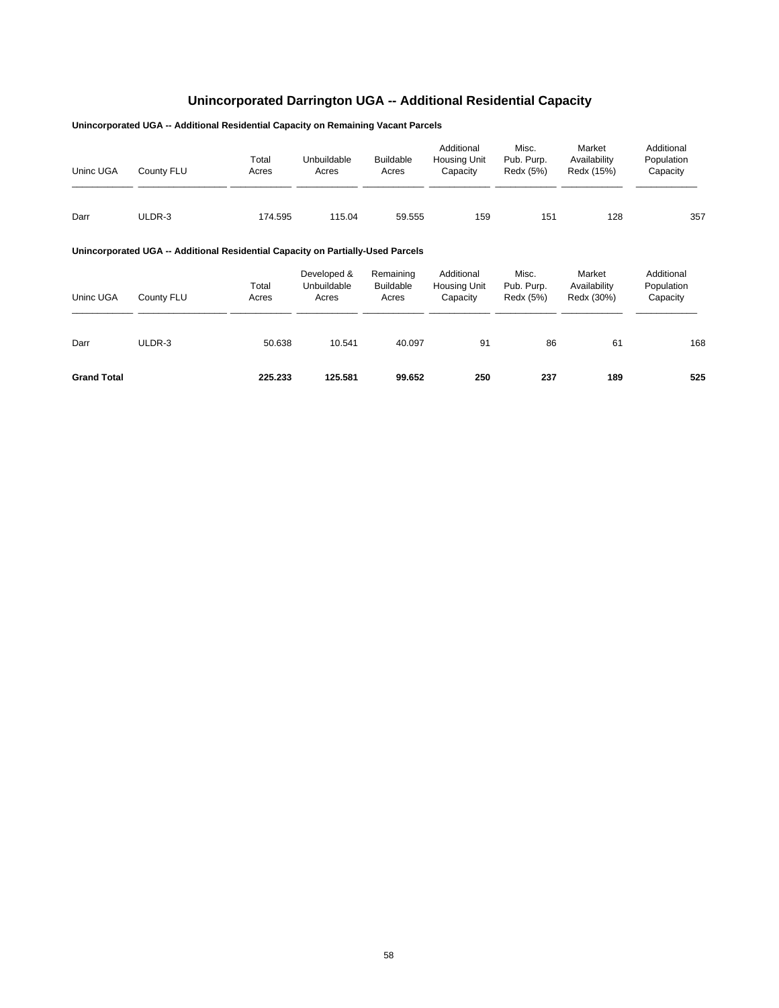# **Unincorporated Darrington UGA -- Additional Residential Capacity**

**Unincorporated UGA -- Additional Residential Capacity on Remaining Vacant Parcels**

| Uninc UGA | County FLU | Total<br>Acres | Unbuildable<br>Acres | <b>Buildable</b><br>Acres | Additional<br><b>Housing Unit</b><br>Capacity | Misc.<br>Pub. Purp.<br>Redx (5%) | Market<br>Availability<br>Redx (15%) | Additional<br>Population<br>Capacity |
|-----------|------------|----------------|----------------------|---------------------------|-----------------------------------------------|----------------------------------|--------------------------------------|--------------------------------------|
| Darr      | ULDR-3     | 174.595        | 115.04               | 59.555                    | 159                                           | 151                              | 128                                  | 357                                  |

## **Unincorporated UGA -- Additional Residential Capacity on Partially-Used Parcels**

| Uninc UGA          | County FLU | Total<br>Acres | Developed &<br>Unbuildable<br>Acres | Remaining<br><b>Buildable</b><br>Acres | Additional<br><b>Housing Unit</b><br>Capacity | Misc.<br>Pub. Purp.<br>Redx (5%) | Market<br>Availability<br>Redx (30%) | Additional<br>Population<br>Capacity |
|--------------------|------------|----------------|-------------------------------------|----------------------------------------|-----------------------------------------------|----------------------------------|--------------------------------------|--------------------------------------|
| Darr               | ULDR-3     | 50.638         | 10.541                              | 40.097                                 | 91                                            | 86                               | 61                                   | 168                                  |
| <b>Grand Total</b> |            | 225.233        | 125.581                             | 99.652                                 | 250                                           | 237                              | 189                                  | 525                                  |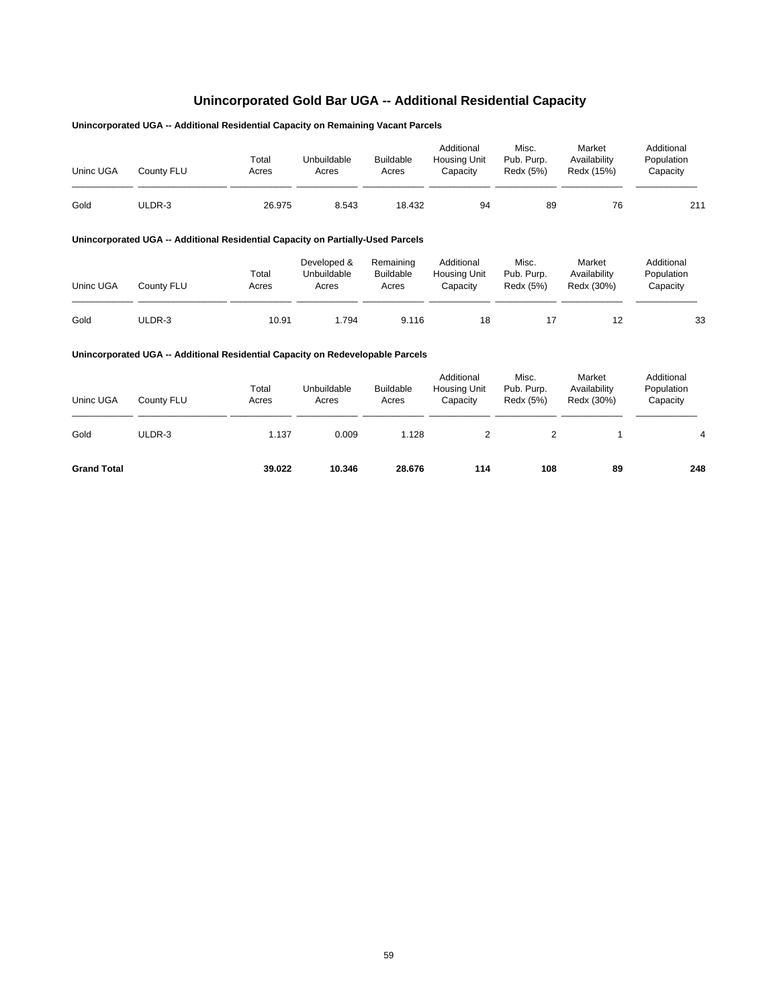# **Unincorporated Gold Bar UGA -- Additional Residential Capacity**

## **Unincorporated UGA -- Additional Residential Capacity on Remaining Vacant Parcels**

| Uninc UGA | County FLU | Total<br>Acres | Unbuildable<br>Acres | <b>Buildable</b><br>Acres | Additional<br><b>Housing Unit</b><br>Capacitv | Misc.<br>Pub. Purp.<br>Redx (5%) | Market<br>Availability<br>Redx (15%) | Additional<br>Population<br>Capacity |
|-----------|------------|----------------|----------------------|---------------------------|-----------------------------------------------|----------------------------------|--------------------------------------|--------------------------------------|
| Gold      | ULDR-3     | 26.975         | 8.543                | 18.432                    | 94                                            | 89                               | 76                                   | 211                                  |

## **Unincorporated UGA -- Additional Residential Capacity on Partially-Used Parcels**

| Uninc UGA | County FLU | Total<br>Acres | Developed &<br>Unbuildable<br>Acres | Remaining<br><b>Buildable</b><br>Acres | Additional<br><b>Housing Unit</b><br>Capacitv | Misc.<br>Pub. Purp.<br>Redx (5%) | Market<br>Availability<br>Redx (30%) | Additional<br>Population<br>Capacity |
|-----------|------------|----------------|-------------------------------------|----------------------------------------|-----------------------------------------------|----------------------------------|--------------------------------------|--------------------------------------|
| Gold      | ULDR-3     | 10.91          | .794                                | 9.116                                  | 18                                            |                                  |                                      | 33                                   |

| Uninc UGA          | County FLU | Total<br>Acres | Unbuildable<br>Acres | <b>Buildable</b><br>Acres | Additional<br><b>Housing Unit</b><br>Capacity | Misc.<br>Pub. Purp.<br>Redx (5%) | Market<br>Availability<br>Redx (30%) | Additional<br>Population<br>Capacity |
|--------------------|------------|----------------|----------------------|---------------------------|-----------------------------------------------|----------------------------------|--------------------------------------|--------------------------------------|
| Gold               | ULDR-3     | 1.137          | 0.009                | 1.128                     |                                               | $\overline{2}$                   |                                      | 4                                    |
| <b>Grand Total</b> |            | 39.022         | 10.346               | 28.676                    | 114                                           | 108                              | 89                                   | 248                                  |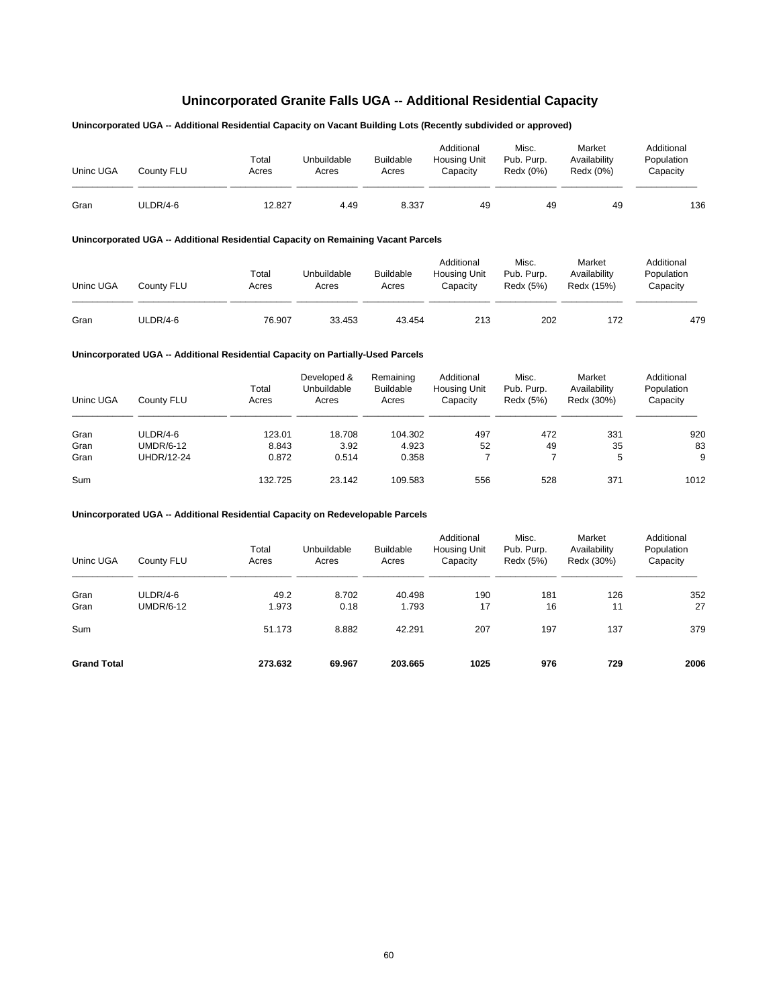# **Unincorporated Granite Falls UGA -- Additional Residential Capacity**

## **Unincorporated UGA -- Additional Residential Capacity on Vacant Building Lots (Recently subdivided or approved)**

| Uninc UGA | Countv FLU | Total<br>Acres | Unbuildable<br>Acres | <b>Buildable</b><br>Acres | Additional<br><b>Housing Unit</b><br>Capacity | Misc.<br>Pub. Purp.<br>Redx (0%) | Market<br>Availability<br>Redx (0%) | Additional<br>Population<br>Capacity |
|-----------|------------|----------------|----------------------|---------------------------|-----------------------------------------------|----------------------------------|-------------------------------------|--------------------------------------|
| Gran      | ULDR/4-6   | 12.827         | 4.49                 | 8.337                     | 49                                            | 49                               | 49                                  | 136                                  |

## **Unincorporated UGA -- Additional Residential Capacity on Remaining Vacant Parcels**

| Uninc UGA | County FLU | Total<br>Acres | Unbuildable<br>Acres | <b>Buildable</b><br>Acres | Additional<br><b>Housing Unit</b><br>Capacitv | Misc.<br>Pub. Purp.<br>Redx (5%) | Market<br>Availability<br>Redx (15%) | Additional<br>Population<br>Capacity |
|-----------|------------|----------------|----------------------|---------------------------|-----------------------------------------------|----------------------------------|--------------------------------------|--------------------------------------|
| Gran      | ULDR/4-6   | 76.907         | 33.453               | 43.454                    | 213                                           | 202                              | 172                                  | 479                                  |

#### **Unincorporated UGA -- Additional Residential Capacity on Partially-Used Parcels**

| Uninc UGA | County FLU | Total<br>Acres | Developed &<br>Unbuildable<br>Acres | Remaining<br><b>Buildable</b><br>Acres | Additional<br><b>Housing Unit</b><br>Capacity | Misc.<br>Pub. Purp.<br>Redx (5%) | Market<br>Availability<br>Redx (30%) | Additional<br>Population<br>Capacity |
|-----------|------------|----------------|-------------------------------------|----------------------------------------|-----------------------------------------------|----------------------------------|--------------------------------------|--------------------------------------|
| Gran      | ULDR/4-6   | 123.01         | 18.708                              | 104.302                                | 497                                           | 472                              | 331                                  | 920                                  |
| Gran      | UMDR/6-12  | 8.843          | 3.92                                | 4.923                                  | 52                                            | 49                               | 35                                   | 83                                   |
| Gran      | UHDR/12-24 | 0.872          | 0.514                               | 0.358                                  |                                               |                                  | 5                                    | 9                                    |
| Sum       |            | 132.725        | 23.142                              | 109.583                                | 556                                           | 528                              | 371                                  | 1012                                 |

| Uninc UGA          | County FLU                   | Total<br>Acres | Unbuildable<br>Acres | <b>Buildable</b><br>Acres | Additional<br>Housing Unit<br>Capacity | Misc.<br>Pub. Purp.<br>Redx (5%) | Market<br>Availability<br>Redx (30%) | Additional<br>Population<br>Capacity |
|--------------------|------------------------------|----------------|----------------------|---------------------------|----------------------------------------|----------------------------------|--------------------------------------|--------------------------------------|
| Gran<br>Gran       | ULDR/4-6<br><b>UMDR/6-12</b> | 49.2<br>1.973  | 8.702<br>0.18        | 40.498<br>1.793           | 190<br>17                              | 181<br>16                        | 126<br>11                            | 352<br>27                            |
| Sum                |                              | 51.173         | 8.882                | 42.291                    | 207                                    | 197                              | 137                                  | 379                                  |
| <b>Grand Total</b> |                              | 273.632        | 69.967               | 203.665                   | 1025                                   | 976                              | 729                                  | 2006                                 |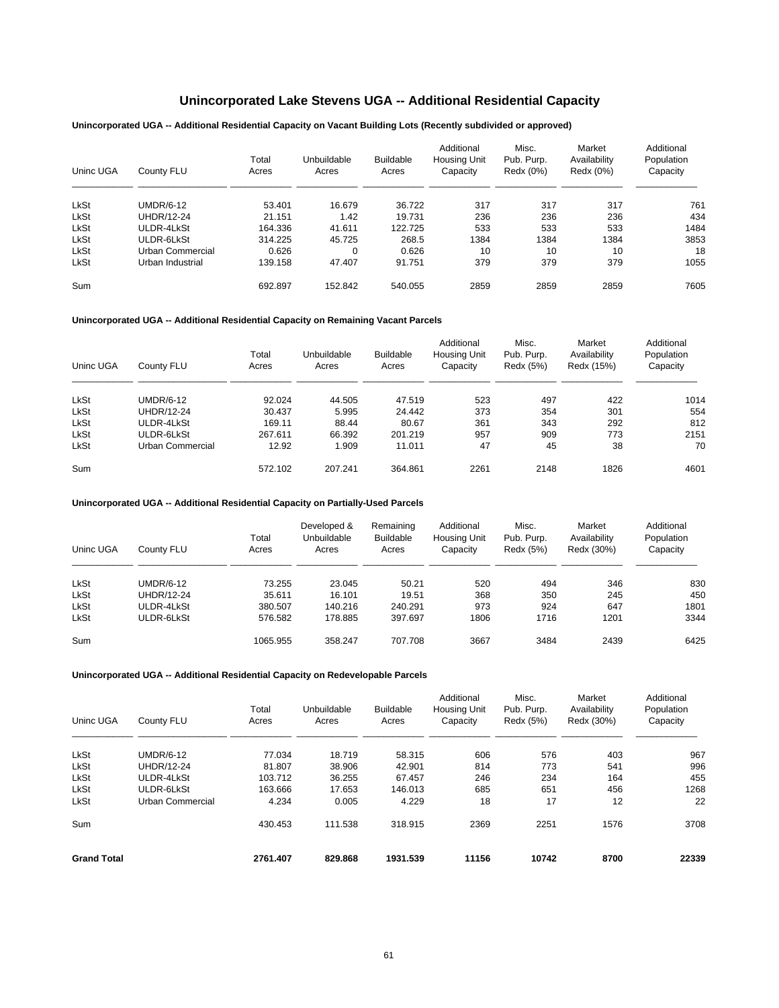# **Unincorporated Lake Stevens UGA -- Additional Residential Capacity**

**Unincorporated UGA -- Additional Residential Capacity on Vacant Building Lots (Recently subdivided or approved)**

| Uninc UGA   | County FLU        | Total<br>Acres | Unbuildable<br>Acres | <b>Buildable</b><br>Acres | Additional<br>Housing Unit<br>Capacity | Misc.<br>Pub. Purp.<br>Redx (0%) | Market<br>Availability<br>Redx (0%) | Additional<br>Population<br>Capacity |
|-------------|-------------------|----------------|----------------------|---------------------------|----------------------------------------|----------------------------------|-------------------------------------|--------------------------------------|
| <b>LkSt</b> | <b>UMDR/6-12</b>  | 53.401         | 16.679               | 36.722                    | 317                                    | 317                              | 317                                 | 761                                  |
| <b>LkSt</b> | <b>UHDR/12-24</b> | 21.151         | 1.42                 | 19.731                    | 236                                    | 236                              | 236                                 | 434                                  |
| <b>LkSt</b> | ULDR-4LkSt        | 164.336        | 41.611               | 122.725                   | 533                                    | 533                              | 533                                 | 1484                                 |
| <b>LkSt</b> | ULDR-6LkSt        | 314.225        | 45.725               | 268.5                     | 1384                                   | 1384                             | 1384                                | 3853                                 |
| <b>LkSt</b> | Urban Commercial  | 0.626          | 0                    | 0.626                     | 10                                     | 10                               | 10                                  | 18                                   |
| <b>LkSt</b> | Urban Industrial  | 139.158        | 47.407               | 91.751                    | 379                                    | 379                              | 379                                 | 1055                                 |
| Sum         |                   | 692.897        | 152.842              | 540.055                   | 2859                                   | 2859                             | 2859                                | 7605                                 |

**Unincorporated UGA -- Additional Residential Capacity on Remaining Vacant Parcels**

| Uninc UGA | County FLU       | Total<br>Acres | Unbuildable<br>Acres | <b>Buildable</b><br>Acres | Additional<br><b>Housing Unit</b><br>Capacity | Misc.<br>Pub. Purp.<br>Redx (5%) | Market<br>Availability<br>Redx (15%) | Additional<br>Population<br>Capacity |
|-----------|------------------|----------------|----------------------|---------------------------|-----------------------------------------------|----------------------------------|--------------------------------------|--------------------------------------|
| LkSt      | <b>UMDR/6-12</b> | 92.024         | 44.505               | 47.519                    | 523                                           | 497                              | 422                                  | 1014                                 |
| LkSt      | UHDR/12-24       | 30.437         | 5.995                | 24.442                    | 373                                           | 354                              | 301                                  | 554                                  |
| LkSt      | ULDR-4LkSt       | 169.11         | 88.44                | 80.67                     | 361                                           | 343                              | 292                                  | 812                                  |
| LkSt      | ULDR-6LkSt       | 267.611        | 66.392               | 201.219                   | 957                                           | 909                              | 773                                  | 2151                                 |
| LkSt      | Urban Commercial | 12.92          | 1.909                | 11.011                    | 47                                            | 45                               | 38                                   | 70                                   |
| Sum       |                  | 572.102        | 207.241              | 364.861                   | 2261                                          | 2148                             | 1826                                 | 4601                                 |

**Unincorporated UGA -- Additional Residential Capacity on Partially-Used Parcels**

| Uninc UGA   | County FLU | Total<br>Acres | Developed &<br>Unbuildable<br>Acres | Remaining<br><b>Buildable</b><br>Acres | Additional<br><b>Housing Unit</b><br>Capacity | Misc.<br>Pub. Purp.<br>Redx (5%) | Market<br>Availability<br>Redx (30%) | Additional<br>Population<br>Capacity |
|-------------|------------|----------------|-------------------------------------|----------------------------------------|-----------------------------------------------|----------------------------------|--------------------------------------|--------------------------------------|
| <b>LkSt</b> | UMDR/6-12  | 73.255         | 23.045                              | 50.21                                  | 520                                           | 494                              | 346                                  | 830                                  |
| <b>LkSt</b> | UHDR/12-24 | 35.611         | 16.101                              | 19.51                                  | 368                                           | 350                              | 245                                  | 450                                  |
| <b>LkSt</b> | ULDR-4LkSt | 380.507        | 140.216                             | 240.291                                | 973                                           | 924                              | 647                                  | 1801                                 |
| <b>LkSt</b> | ULDR-6LkSt | 576.582        | 178.885                             | 397.697                                | 1806                                          | 1716                             | 1201                                 | 3344                                 |
| Sum         |            | 1065.955       | 358.247                             | 707.708                                | 3667                                          | 3484                             | 2439                                 | 6425                                 |

| Uninc UGA          | County FLU              | Total<br>Acres | Unbuildable<br>Acres | <b>Buildable</b><br>Acres | Additional<br><b>Housing Unit</b><br>Capacity | Misc.<br>Pub. Purp.<br>Redx (5%) | Market<br>Availability<br>Redx (30%) | Additional<br>Population<br>Capacity |
|--------------------|-------------------------|----------------|----------------------|---------------------------|-----------------------------------------------|----------------------------------|--------------------------------------|--------------------------------------|
| <b>LkSt</b>        | <b>UMDR/6-12</b>        | 77.034         | 18.719               | 58.315                    | 606                                           | 576                              | 403                                  | 967                                  |
| <b>LkSt</b>        | UHDR/12-24              | 81.807         | 38.906               | 42.901                    | 814                                           | 773                              | 541                                  | 996                                  |
| LkSt               | ULDR-4LkSt              | 103.712        | 36.255               | 67.457                    | 246                                           | 234                              | 164                                  | 455                                  |
| LkSt               | ULDR-6LkSt              | 163.666        | 17.653               | 146.013                   | 685                                           | 651                              | 456                                  | 1268                                 |
| <b>LkSt</b>        | <b>Urban Commercial</b> | 4.234          | 0.005                | 4.229                     | 18                                            | 17                               | 12                                   | 22                                   |
| Sum                |                         | 430.453        | 111.538              | 318.915                   | 2369                                          | 2251                             | 1576                                 | 3708                                 |
| <b>Grand Total</b> |                         | 2761.407       | 829.868              | 1931.539                  | 11156                                         | 10742                            | 8700                                 | 22339                                |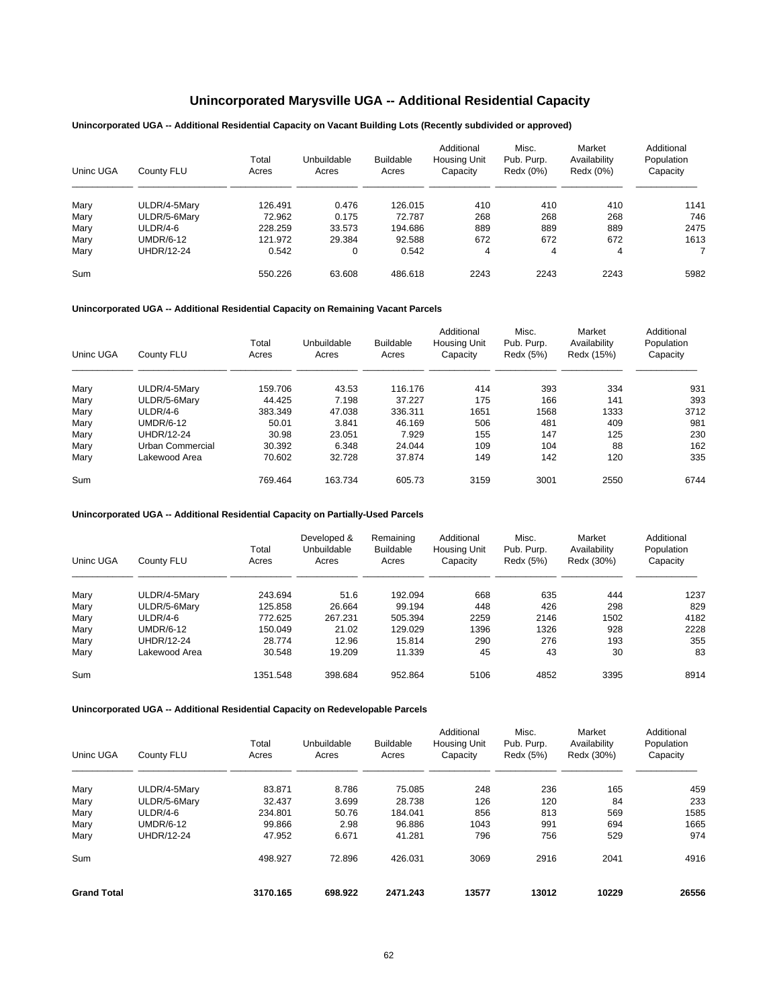# **Unincorporated Marysville UGA -- Additional Residential Capacity**

## **Unincorporated UGA -- Additional Residential Capacity on Vacant Building Lots (Recently subdivided or approved)**

| Uninc UGA | County FLU   | Total<br>Acres | Unbuildable<br>Acres | <b>Buildable</b><br>Acres | Additional<br>Housing Unit<br>Capacity | Misc.<br>Pub. Purp.<br>Redx (0%) | Market<br>Availability<br>Redx (0%) | Additional<br>Population<br>Capacity |
|-----------|--------------|----------------|----------------------|---------------------------|----------------------------------------|----------------------------------|-------------------------------------|--------------------------------------|
| Mary      | ULDR/4-5Mary | 126.491        | 0.476                | 126.015                   | 410                                    | 410                              | 410                                 | 1141                                 |
| Mary      | ULDR/5-6Mary | 72.962         | 0.175                | 72.787                    | 268                                    | 268                              | 268                                 | 746                                  |
| Mary      | ULDR/4-6     | 228.259        | 33.573               | 194.686                   | 889                                    | 889                              | 889                                 | 2475                                 |
| Mary      | UMDR/6-12    | 121.972        | 29.384               | 92.588                    | 672                                    | 672                              | 672                                 | 1613                                 |
| Mary      | UHDR/12-24   | 0.542          | 0                    | 0.542                     | 4                                      | 4                                | 4                                   |                                      |
| Sum       |              | 550.226        | 63.608               | 486.618                   | 2243                                   | 2243                             | 2243                                | 5982                                 |

## **Unincorporated UGA -- Additional Residential Capacity on Remaining Vacant Parcels**

| Uninc UGA | County FLU        | Total<br>Acres | Unbuildable<br>Acres | <b>Buildable</b><br>Acres | Additional<br><b>Housing Unit</b><br>Capacity | Misc.<br>Pub. Purp.<br>Redx (5%) | Market<br>Availability<br>Redx (15%) | Additional<br>Population<br>Capacity |
|-----------|-------------------|----------------|----------------------|---------------------------|-----------------------------------------------|----------------------------------|--------------------------------------|--------------------------------------|
| Mary      | ULDR/4-5Mary      | 159.706        | 43.53                | 116.176                   | 414                                           | 393                              | 334                                  | 931                                  |
| Mary      | ULDR/5-6Mary      | 44.425         | 7.198                | 37.227                    | 175                                           | 166                              | 141                                  | 393                                  |
| Mary      | ULDR/4-6          | 383.349        | 47.038               | 336.311                   | 1651                                          | 1568                             | 1333                                 | 3712                                 |
| Mary      | <b>UMDR/6-12</b>  | 50.01          | 3.841                | 46.169                    | 506                                           | 481                              | 409                                  | 981                                  |
| Mary      | <b>UHDR/12-24</b> | 30.98          | 23.051               | 7.929                     | 155                                           | 147                              | 125                                  | 230                                  |
| Mary      | Urban Commercial  | 30.392         | 6.348                | 24.044                    | 109                                           | 104                              | 88                                   | 162                                  |
| Mary      | Lakewood Area     | 70.602         | 32.728               | 37.874                    | 149                                           | 142                              | 120                                  | 335                                  |
| Sum       |                   | 769.464        | 163.734              | 605.73                    | 3159                                          | 3001                             | 2550                                 | 6744                                 |

#### **Unincorporated UGA -- Additional Residential Capacity on Partially-Used Parcels**

| Uninc UGA | County FLU    | Total<br>Acres | Developed &<br>Unbuildable<br>Acres | Remaining<br><b>Buildable</b><br>Acres | Additional<br>Housing Unit<br>Capacity | Misc.<br>Pub. Purp.<br>Redx (5%) | Market<br>Availability<br>Redx (30%) | Additional<br>Population<br>Capacity |
|-----------|---------------|----------------|-------------------------------------|----------------------------------------|----------------------------------------|----------------------------------|--------------------------------------|--------------------------------------|
| Mary      | ULDR/4-5Mary  | 243.694        | 51.6                                | 192.094                                | 668                                    | 635                              | 444                                  | 1237                                 |
| Mary      | ULDR/5-6Mary  | 125.858        | 26.664                              | 99.194                                 | 448                                    | 426                              | 298                                  | 829                                  |
| Mary      | $ULDR/4-6$    | 772.625        | 267.231                             | 505.394                                | 2259                                   | 2146                             | 1502                                 | 4182                                 |
| Mary      | UMDR/6-12     | 150.049        | 21.02                               | 129.029                                | 1396                                   | 1326                             | 928                                  | 2228                                 |
| Mary      | UHDR/12-24    | 28.774         | 12.96                               | 15.814                                 | 290                                    | 276                              | 193                                  | 355                                  |
| Mary      | Lakewood Area | 30.548         | 19.209                              | 11.339                                 | 45                                     | 43                               | 30                                   | 83                                   |
| Sum       |               | 1351.548       | 398.684                             | 952.864                                | 5106                                   | 4852                             | 3395                                 | 8914                                 |

| Uninc UGA          | County FLU        | Total<br>Acres | Unbuildable<br>Acres | <b>Buildable</b><br>Acres | Additional<br><b>Housing Unit</b><br>Capacity | Misc.<br>Pub. Purp.<br>Redx (5%) | Market<br>Availability<br>Redx (30%) | Additional<br>Population<br>Capacity |
|--------------------|-------------------|----------------|----------------------|---------------------------|-----------------------------------------------|----------------------------------|--------------------------------------|--------------------------------------|
| Mary               | ULDR/4-5Mary      | 83.871         | 8.786                | 75.085                    | 248                                           | 236                              | 165                                  | 459                                  |
| Mary               | ULDR/5-6Mary      | 32.437         | 3.699                | 28.738                    | 126                                           | 120                              | 84                                   | 233                                  |
| Mary               | ULDR/4-6          | 234.801        | 50.76                | 184.041                   | 856                                           | 813                              | 569                                  | 1585                                 |
| Mary               | <b>UMDR/6-12</b>  | 99.866         | 2.98                 | 96.886                    | 1043                                          | 991                              | 694                                  | 1665                                 |
| Mary               | <b>UHDR/12-24</b> | 47.952         | 6.671                | 41.281                    | 796                                           | 756                              | 529                                  | 974                                  |
| Sum                |                   | 498.927        | 72.896               | 426.031                   | 3069                                          | 2916                             | 2041                                 | 4916                                 |
| <b>Grand Total</b> |                   | 3170.165       | 698.922              | 2471.243                  | 13577                                         | 13012                            | 10229                                | 26556                                |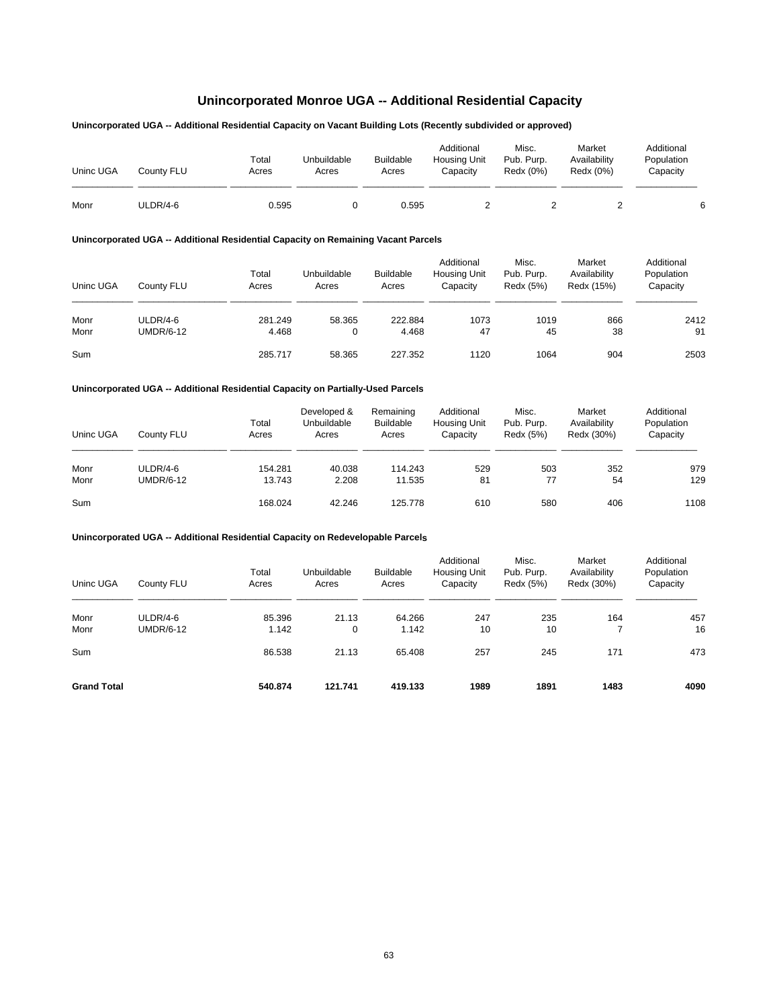# **Unincorporated Monroe UGA -- Additional Residential Capacity**

## **Unincorporated UGA -- Additional Residential Capacity on Vacant Building Lots (Recently subdivided or approved)**

| Uninc UGA | Countv FLU | Total<br>Acres | Unbuildable<br>Acres | <b>Buildable</b><br>Acres | Additional<br><b>Housing Unit</b><br>Capacity | Misc.<br>Pub. Purp.<br>Redx (0%) | Market<br>Availability<br>Redx (0%) | Additional<br>Population<br>Capacity |
|-----------|------------|----------------|----------------------|---------------------------|-----------------------------------------------|----------------------------------|-------------------------------------|--------------------------------------|
| Monr      | ULDR/4-6   | 0.595          |                      | 0.595                     |                                               |                                  |                                     |                                      |

## **Unincorporated UGA -- Additional Residential Capacity on Remaining Vacant Parcels**

| Uninc UGA    | County FLU                   | Total<br>Acres   | Unbuildable<br>Acres | <b>Buildable</b><br>Acres | Additional<br><b>Housing Unit</b><br>Capacity | Misc.<br>Pub. Purp.<br>Redx (5%) | Market<br>Availability<br>Redx (15%) | Additional<br>Population<br>Capacity |
|--------------|------------------------------|------------------|----------------------|---------------------------|-----------------------------------------------|----------------------------------|--------------------------------------|--------------------------------------|
| Monr<br>Monr | ULDR/4-6<br><b>UMDR/6-12</b> | 281.249<br>4.468 | 58.365<br>0          | 222.884<br>4.468          | 1073<br>47                                    | 1019<br>45                       | 866<br>38                            | 2412<br>91                           |
| Sum          |                              | 285.717          | 58.365               | 227.352                   | 1120                                          | 1064                             | 904                                  | 2503                                 |

#### **Unincorporated UGA -- Additional Residential Capacity on Partially-Used Parcels**

| Uninc UGA | County FLU       | Total<br>Acres | Developed &<br>Unbuildable<br>Acres | Remaining<br><b>Buildable</b><br>Acres | Additional<br><b>Housing Unit</b><br>Capacity | Misc.<br>Pub. Purp.<br>Redx (5%) | Market<br>Availability<br>Redx (30%) | Additional<br>Population<br>Capacity |
|-----------|------------------|----------------|-------------------------------------|----------------------------------------|-----------------------------------------------|----------------------------------|--------------------------------------|--------------------------------------|
| Monr      | ULDR/4-6         | 154.281        | 40.038                              | 114.243                                | 529                                           | 503                              | 352                                  | 979                                  |
| Monr      | <b>UMDR/6-12</b> | 13.743         | 2.208                               | 11.535                                 | 81                                            | 77                               | 54                                   | 129                                  |
| Sum       |                  | 168.024        | 42.246                              | 125.778                                | 610                                           | 580                              | 406                                  | 1108                                 |

| Uninc UGA          | County FLU       | Total<br>Acres | Unbuildable<br>Acres | <b>Buildable</b><br>Acres | Additional<br>Housing Unit<br>Capacity | Misc.<br>Pub. Purp.<br>Redx (5%) | Market<br>Availability<br>Redx (30%) | Additional<br>Population<br>Capacity |
|--------------------|------------------|----------------|----------------------|---------------------------|----------------------------------------|----------------------------------|--------------------------------------|--------------------------------------|
| Monr               | ULDR/4-6         | 85.396         | 21.13                | 64.266                    | 247                                    | 235                              | 164                                  | 457                                  |
| Monr               | <b>UMDR/6-12</b> | 1.142          | $\mathbf 0$          | 1.142                     | 10                                     | 10                               |                                      | 16                                   |
| Sum                |                  | 86.538         | 21.13                | 65.408                    | 257                                    | 245                              | 171                                  | 473                                  |
| <b>Grand Total</b> |                  | 540.874        | 121.741              | 419.133                   | 1989                                   | 1891                             | 1483                                 | 4090                                 |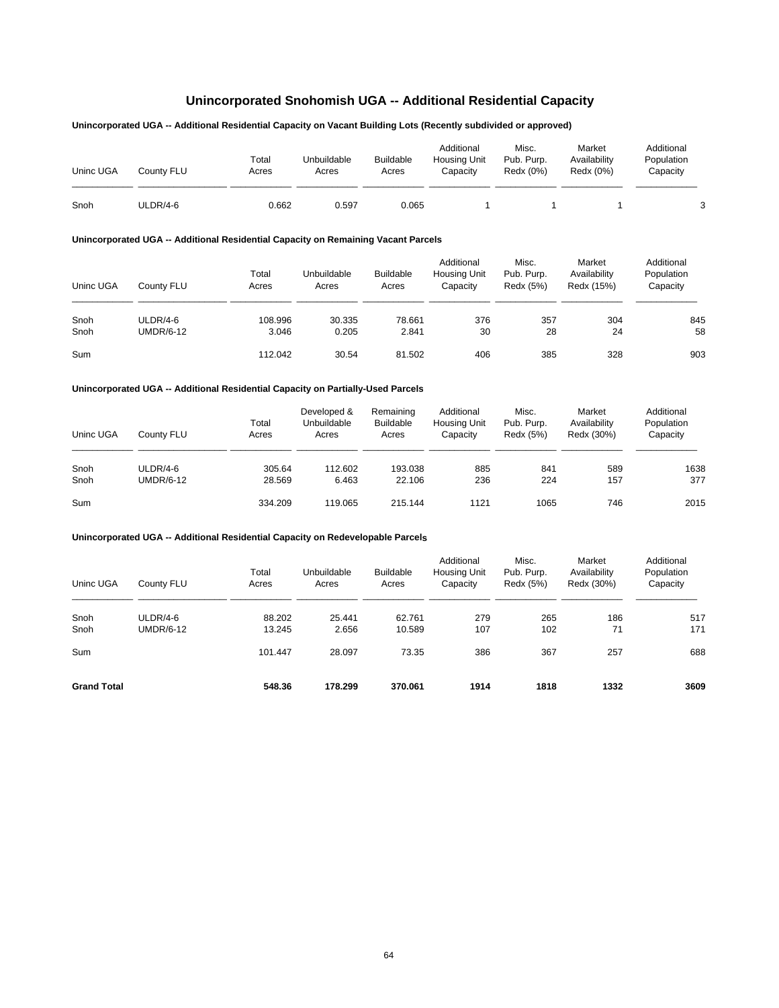# **Unincorporated Snohomish UGA -- Additional Residential Capacity**

## **Unincorporated UGA -- Additional Residential Capacity on Vacant Building Lots (Recently subdivided or approved)**

| Uninc UGA | County FLU | Total<br>Acres | Unbuildable<br>Acres | <b>Buildable</b><br>Acres | Additional<br><b>Housing Unit</b><br>Capacity | Misc.<br>Pub. Purp.<br>Redx (0%) | Market<br>Availability<br>Redx (0%) | Additional<br>Population<br>Capacity |
|-----------|------------|----------------|----------------------|---------------------------|-----------------------------------------------|----------------------------------|-------------------------------------|--------------------------------------|
| Snoh      | ULDR/4-6   | 0.662          | 0.597                | 0.065                     |                                               |                                  |                                     | ≏                                    |

## **Unincorporated UGA -- Additional Residential Capacity on Remaining Vacant Parcels**

| Uninc UGA    | County FLU                   | Total<br>Acres   | Unbuildable<br>Acres | <b>Buildable</b><br>Acres | Additional<br><b>Housing Unit</b><br>Capacity | Misc.<br>Pub. Purp.<br>Redx (5%) | Market<br>Availability<br>Redx (15%) | Additional<br>Population<br>Capacity |
|--------------|------------------------------|------------------|----------------------|---------------------------|-----------------------------------------------|----------------------------------|--------------------------------------|--------------------------------------|
| Snoh<br>Snoh | ULDR/4-6<br><b>UMDR/6-12</b> | 108.996<br>3.046 | 30.335<br>0.205      | 78.661<br>2.841           | 376<br>30                                     | 357<br>28                        | 304<br>24                            | 845<br>58                            |
| Sum          |                              | 112.042          | 30.54                | 81.502                    | 406                                           | 385                              | 328                                  | 903                                  |

#### **Unincorporated UGA -- Additional Residential Capacity on Partially-Used Parcels**

| Uninc UGA | County FLU       | Total<br>Acres | Developed &<br>Unbuildable<br>Acres | Remaining<br><b>Buildable</b><br>Acres | Additional<br><b>Housing Unit</b><br>Capacity | Misc.<br>Pub. Purp.<br>Redx (5%) | Market<br>Availability<br>Redx (30%) | Additional<br>Population<br>Capacity |
|-----------|------------------|----------------|-------------------------------------|----------------------------------------|-----------------------------------------------|----------------------------------|--------------------------------------|--------------------------------------|
| Snoh      | ULDR/4-6         | 305.64         | 112.602                             | 193.038                                | 885                                           | 841                              | 589                                  | 1638                                 |
| Snoh      | <b>UMDR/6-12</b> | 28.569         | 6.463                               | 22.106                                 | 236                                           | 224                              | 157                                  | 377                                  |
| Sum       |                  | 334.209        | 119.065                             | 215.144                                | 1121                                          | 1065                             | 746                                  | 2015                                 |

| Uninc UGA          | County FLU       | Total<br>Acres | Unbuildable<br>Acres | <b>Buildable</b><br>Acres | Additional<br>Housing Unit<br>Capacity | Misc.<br>Pub. Purp.<br>Redx (5%) | Market<br>Availability<br>Redx (30%) | Additional<br>Population<br>Capacity |
|--------------------|------------------|----------------|----------------------|---------------------------|----------------------------------------|----------------------------------|--------------------------------------|--------------------------------------|
| Snoh               | ULDR/4-6         | 88.202         | 25.441               | 62.761                    | 279                                    | 265                              | 186                                  | 517                                  |
| Snoh               | <b>UMDR/6-12</b> | 13.245         | 2.656                | 10.589                    | 107                                    | 102                              | 71                                   | 171                                  |
| Sum                |                  | 101.447        | 28.097               | 73.35                     | 386                                    | 367                              | 257                                  | 688                                  |
| <b>Grand Total</b> |                  | 548.36         | 178.299              | 370.061                   | 1914                                   | 1818                             | 1332                                 | 3609                                 |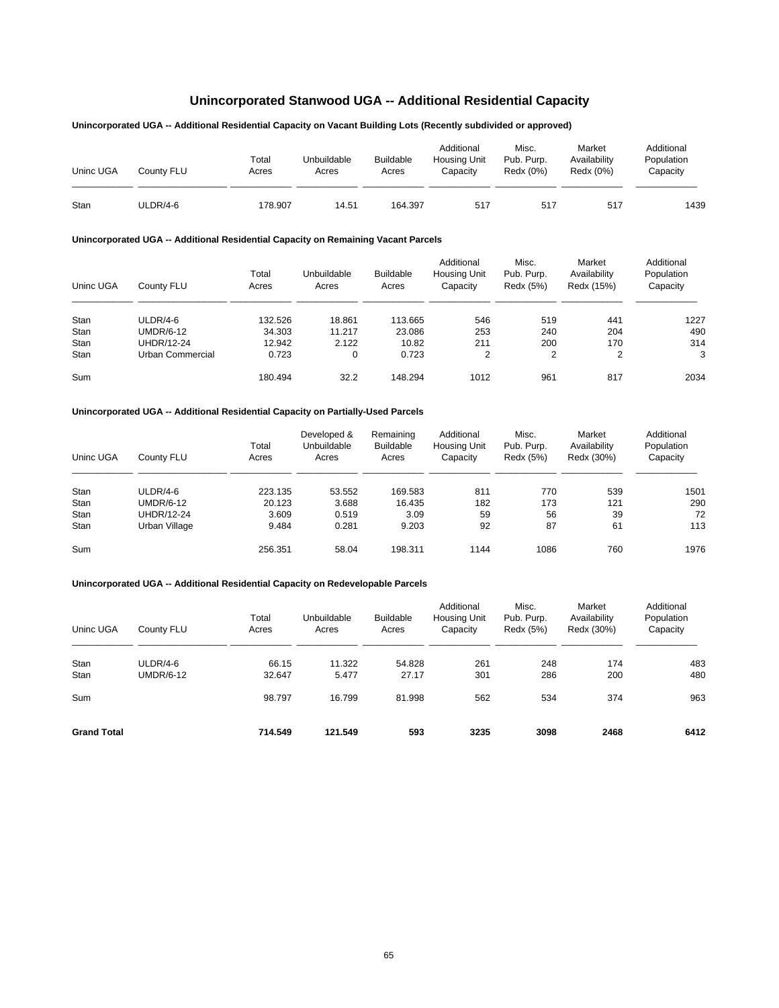# **Unincorporated Stanwood UGA -- Additional Residential Capacity**

## **Unincorporated UGA -- Additional Residential Capacity on Vacant Building Lots (Recently subdivided or approved)**

| Uninc UGA | Countv FLU | Total<br>Acres | Unbuildable<br>Acres | <b>Buildable</b><br>Acres | Additional<br><b>Housing Unit</b><br>Capacitv | Misc.<br>Pub. Purp.<br>Redx (0%) | Market<br>Availability<br>Redx (0%) | Additional<br>Population<br>Capacity |
|-----------|------------|----------------|----------------------|---------------------------|-----------------------------------------------|----------------------------------|-------------------------------------|--------------------------------------|
| Stan      | ULDR/4-6   | 178.907        | 14.51                | 164.397                   | 517                                           | 517                              | 517                                 | 1439                                 |

## **Unincorporated UGA -- Additional Residential Capacity on Remaining Vacant Parcels**

| Uninc UGA | County FLU       | Total<br>Acres | Unbuildable<br>Acres | <b>Buildable</b><br>Acres | Additional<br><b>Housing Unit</b><br>Capacity | Misc.<br>Pub. Purp.<br>Redx (5%) | Market<br>Availability<br>Redx (15%) | Additional<br>Population<br>Capacity |
|-----------|------------------|----------------|----------------------|---------------------------|-----------------------------------------------|----------------------------------|--------------------------------------|--------------------------------------|
| Stan      | ULDR/4-6         | 132.526        | 18.861               | 113.665                   | 546                                           | 519                              | 441                                  | 1227                                 |
| Stan      | UMDR/6-12        | 34.303         | 11.217               | 23.086                    | 253                                           | 240                              | 204                                  | 490                                  |
| Stan      | UHDR/12-24       | 12.942         | 2.122                | 10.82                     | 211                                           | 200                              | 170                                  | 314                                  |
| Stan      | Urban Commercial | 0.723          | 0                    | 0.723                     | $\overline{2}$                                | 2                                | $\overline{2}$                       | 3                                    |
| Sum       |                  | 180.494        | 32.2                 | 148.294                   | 1012                                          | 961                              | 817                                  | 2034                                 |

#### **Unincorporated UGA -- Additional Residential Capacity on Partially-Used Parcels**

| Uninc UGA | County FLU       | Total<br>Acres | Developed &<br>Unbuildable<br>Acres | Remaining<br><b>Buildable</b><br>Acres | Additional<br><b>Housing Unit</b><br>Capacity | Misc.<br>Pub. Purp.<br>Redx (5%) | Market<br>Availability<br>Redx (30%) | Additional<br>Population<br>Capacity |
|-----------|------------------|----------------|-------------------------------------|----------------------------------------|-----------------------------------------------|----------------------------------|--------------------------------------|--------------------------------------|
| Stan      | ULDR/4-6         | 223.135        | 53.552                              | 169.583                                | 811                                           | 770                              | 539                                  | 1501                                 |
| Stan      | <b>UMDR/6-12</b> | 20.123         | 3.688                               | 16.435                                 | 182                                           | 173                              | 121                                  | 290                                  |
| Stan      | UHDR/12-24       | 3.609          | 0.519                               | 3.09                                   | 59                                            | 56                               | 39                                   | 72                                   |
| Stan      | Urban Village    | 9.484          | 0.281                               | 9.203                                  | 92                                            | 87                               | 61                                   | 113                                  |
| Sum       |                  | 256.351        | 58.04                               | 198.311                                | 1144                                          | 1086                             | 760                                  | 1976                                 |

| Uninc UGA          | County FLU       | Total<br>Acres | Unbuildable<br>Acres | <b>Buildable</b><br>Acres | Additional<br><b>Housing Unit</b><br>Capacity | Misc.<br>Pub. Purp.<br>Redx (5%) | Market<br>Availability<br>Redx (30%) | Additional<br>Population<br>Capacity |
|--------------------|------------------|----------------|----------------------|---------------------------|-----------------------------------------------|----------------------------------|--------------------------------------|--------------------------------------|
| Stan               | ULDR/4-6         | 66.15          | 11.322               | 54.828                    | 261                                           | 248                              | 174                                  | 483                                  |
| Stan               | <b>UMDR/6-12</b> | 32.647         | 5.477                | 27.17                     | 301                                           | 286                              | 200                                  | 480                                  |
| Sum                |                  | 98.797         | 16.799               | 81.998                    | 562                                           | 534                              | 374                                  | 963                                  |
| <b>Grand Total</b> |                  | 714.549        | 121.549              | 593                       | 3235                                          | 3098                             | 2468                                 | 6412                                 |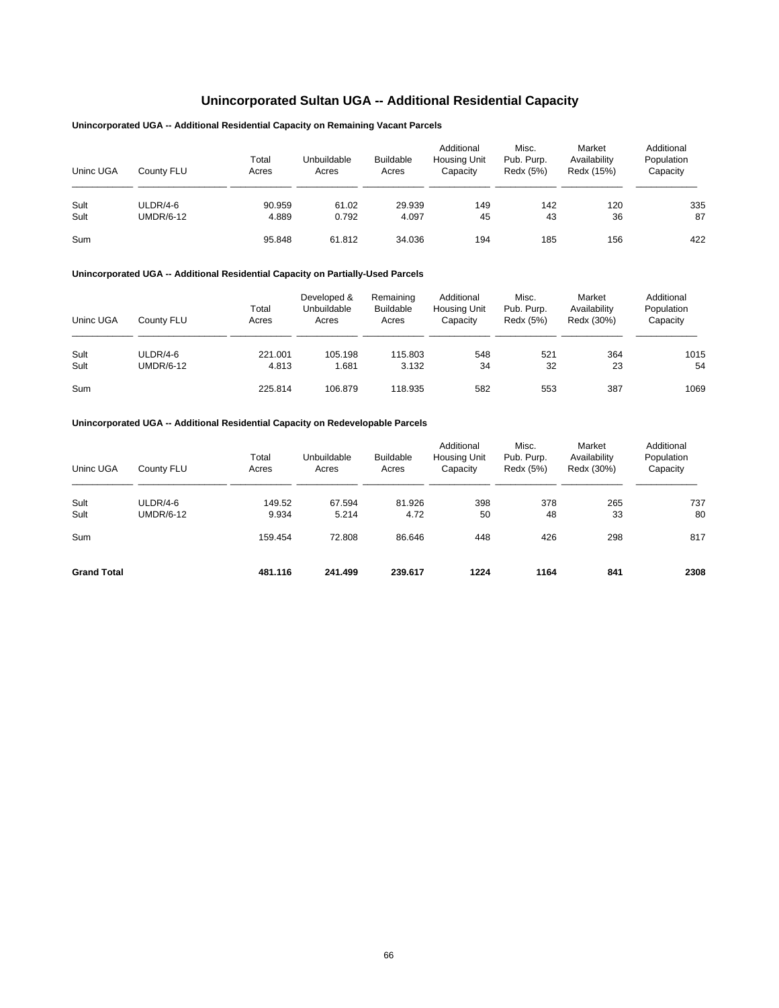# **Unincorporated Sultan UGA -- Additional Residential Capacity**

## **Unincorporated UGA -- Additional Residential Capacity on Remaining Vacant Parcels**

| Uninc UGA | County FLU       | Total<br>Acres | Unbuildable<br>Acres | <b>Buildable</b><br>Acres | Additional<br><b>Housing Unit</b><br>Capacity | Misc.<br>Pub. Purp.<br>Redx (5%) | Market<br>Availability<br>Redx (15%) | Additional<br>Population<br>Capacity |
|-----------|------------------|----------------|----------------------|---------------------------|-----------------------------------------------|----------------------------------|--------------------------------------|--------------------------------------|
| Sult      | ULDR/4-6         | 90.959         | 61.02                | 29.939                    | 149                                           | 142                              | 120                                  | 335                                  |
| Sult      | <b>UMDR/6-12</b> | 4.889          | 0.792                | 4.097                     | 45                                            | 43                               | 36                                   | 87                                   |
| Sum       |                  | 95.848         | 61.812               | 34.036                    | 194                                           | 185                              | 156                                  | 422                                  |

#### **Unincorporated UGA -- Additional Residential Capacity on Partially-Used Parcels**

| Uninc UGA | County FLU       | Total<br>Acres | Developed &<br>Unbuildable<br>Acres | Remaining<br><b>Buildable</b><br>Acres | Additional<br><b>Housing Unit</b><br>Capacity | Misc.<br>Pub. Purp.<br>Redx (5%) | Market<br>Availability<br>Redx (30%) | Additional<br>Population<br>Capacity |
|-----------|------------------|----------------|-------------------------------------|----------------------------------------|-----------------------------------------------|----------------------------------|--------------------------------------|--------------------------------------|
| Sult      | ULDR/4-6         | 221.001        | 105.198                             | 115.803                                | 548                                           | 521                              | 364                                  | 1015                                 |
| Sult      | <b>UMDR/6-12</b> | 4.813          | 1.681                               | 3.132                                  | 34                                            | 32                               | 23                                   | 54                                   |
| Sum       |                  | 225.814        | 106.879                             | 118.935                                | 582                                           | 553                              | 387                                  | 1069                                 |

| Uninc UGA          | County FLU       | Total<br>Acres | Unbuildable<br>Acres | <b>Buildable</b><br>Acres | Additional<br>Housing Unit<br>Capacity | Misc.<br>Pub. Purp.<br>Redx (5%) | Market<br>Availability<br>Redx (30%) | Additional<br>Population<br>Capacity |
|--------------------|------------------|----------------|----------------------|---------------------------|----------------------------------------|----------------------------------|--------------------------------------|--------------------------------------|
| Sult               | ULDR/4-6         | 149.52         | 67.594               | 81.926                    | 398                                    | 378                              | 265                                  | 737                                  |
| Sult               | <b>UMDR/6-12</b> | 9.934          | 5.214                | 4.72                      | 50                                     | 48                               | 33                                   | 80                                   |
| Sum                |                  | 159.454        | 72.808               | 86.646                    | 448                                    | 426                              | 298                                  | 817                                  |
| <b>Grand Total</b> |                  | 481.116        | 241.499              | 239.617                   | 1224                                   | 1164                             | 841                                  | 2308                                 |